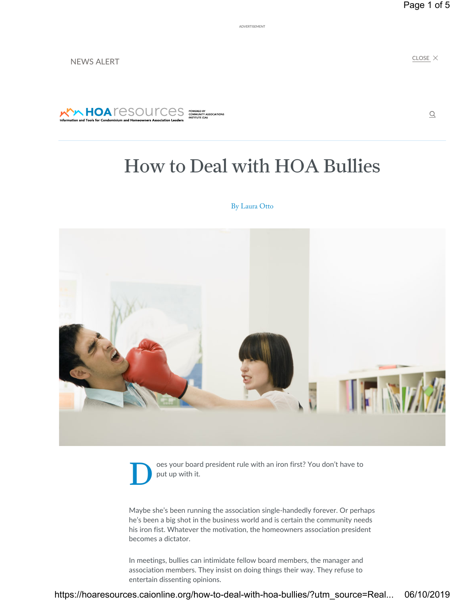ADVERTISEMENT

NEWS ALERT

 $CLOSE$   $\times$ 

 $\mathcal{Q}$ 



# How to Deal with HOA Bullies

### By Laura Otto



Oes your board president rule with an iron first? You don't have to<br>put up with it. put up with it.

Maybe she's been running the association single-handedly forever. Or perhaps he's been a big shot in the business world and is certain the community needs his iron fist. Whatever the motivation, the homeowners association president becomes a dictator.

In meetings, bullies can intimidate fellow board members, the manager and association members. They insist on doing things their way. They refuse to entertain dissenting opinions.

https://hoaresources.caionline.org/how-to-deal-with-hoa-bullies/?utm\_source=Real... 06/10/2019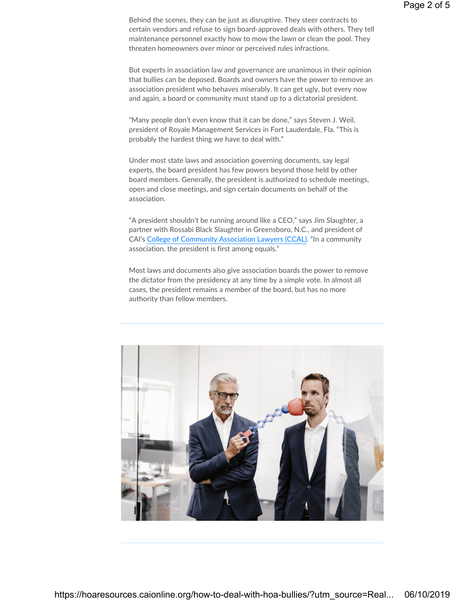Behind the scenes, they can be just as disruptive. They steer contracts to certain vendors and refuse to sign board-approved deals with others. They tell maintenance personnel exactly how to mow the lawn or clean the pool. They threaten homeowners over minor or perceived rules infractions.

But experts in association law and governance are unanimous in their opinion that bullies can be deposed. Boards and owners have the power to remove an association president who behaves miserably. It can get ugly, but every now and again, a board or community must stand up to a dictatorial president.

"Many people don't even know that it can be done," says Steven J. Weil, president of Royale Management Services in Fort Lauderdale, Fla. "This is probably the hardest thing we have to deal with."

Under most state laws and association governing documents, say legal experts, the board president has few powers beyond those held by other board members. Generally, the president is authorized to schedule meetings, open and close meetings, and sign certain documents on behalf of the association.

"A president shouldn't be running around like a CEO," says Jim Slaughter, a partner with Rossabi Black Slaughter in Greensboro, N.C., and president of CAI's College of Community Association Lawyers (CCAL). "In a community association, the president is first among equals."

Most laws and documents also give association boards the power to remove the dictator from the presidency at any time by a simple vote. In almost all cases, the president remains a member of the board, but has no more authority than fellow members.

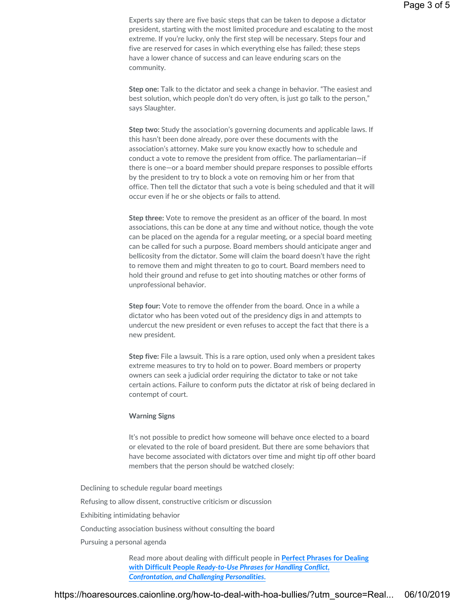Experts say there are five basic steps that can be taken to depose a dictator president, starting with the most limited procedure and escalating to the most extreme. If you're lucky, only the first step will be necessary. Steps four and five are reserved for cases in which everything else has failed; these steps have a lower chance of success and can leave enduring scars on the community.

Step one: Talk to the dictator and seek a change in behavior. "The easiest and best solution, which people don't do very often, is just go talk to the person," says Slaughter.

Step two: Study the association's governing documents and applicable laws. If this hasn't been done already, pore over these documents with the association's attorney. Make sure you know exactly how to schedule and conduct a vote to remove the president from office. The parliamentarian—if there is one—or a board member should prepare responses to possible efforts by the president to try to block a vote on removing him or her from that office. Then tell the dictator that such a vote is being scheduled and that it will occur even if he or she objects or fails to attend.

Step three: Vote to remove the president as an officer of the board. In most associations, this can be done at any time and without notice, though the vote can be placed on the agenda for a regular meeting, or a special board meeting can be called for such a purpose. Board members should anticipate anger and bellicosity from the dictator. Some will claim the board doesn't have the right to remove them and might threaten to go to court. Board members need to hold their ground and refuse to get into shouting matches or other forms of unprofessional behavior.

Step four: Vote to remove the offender from the board. Once in a while a dictator who has been voted out of the presidency digs in and attempts to undercut the new president or even refuses to accept the fact that there is a new president.

Step five: File a lawsuit. This is a rare option, used only when a president takes extreme measures to try to hold on to power. Board members or property owners can seek a judicial order requiring the dictator to take or not take certain actions. Failure to conform puts the dictator at risk of being declared in contempt of court.

#### Warning Signs

It's not possible to predict how someone will behave once elected to a board or elevated to the role of board president. But there are some behaviors that have become associated with dictators over time and might tip off other board members that the person should be watched closely:

Declining to schedule regular board meetings Refusing to allow dissent, constructive criticism or discussion Exhibiting intimidating behavior Conducting association business without consulting the board Pursuing a personal agenda

Read more about dealing with difficult people in Perfect Phrases for Dealing with Difficult People Ready-to-Use Phrases for Handling Conflict, Confrontation, and Challenging Personalities.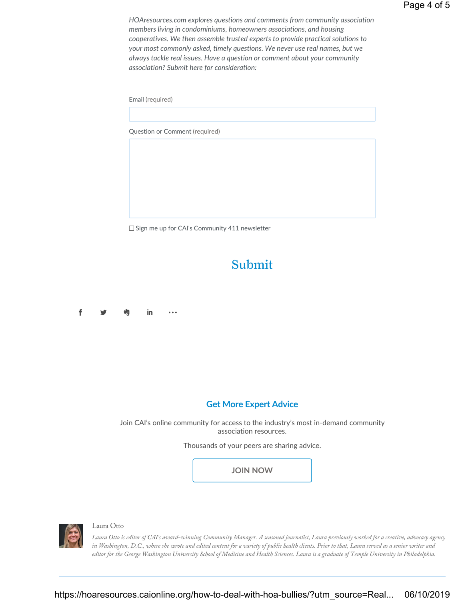HOAresources.com explores questions and comments from community association members living in condominiums, homeowners associations, and housing cooperatives. We then assemble trusted experts to provide practical solutions to your most commonly asked, timely questions. We never use real names, but we always tackle real issues. Have a question or comment about your community association? Submit here for consideration:

Email (required)

Question or Comment (required)

 $\square$  Sign me up for CAI's Community 411 newsletter

## Submit

**f ジ 均 in …** 

### Get More Expert Advice

Join CAI's online community for access to the industry's most in-demand community association resources.

Thousands of your peers are sharing advice.

JOIN NOW



### Laura Otto

Laura Otto is editor of CAI's award-winning Community Manager. A seasoned journalist, Laura previously worked for a creative, advocacy agency in Washington, D.C., where she wrote and edited content for a variety of public health clients. Prior to that, Laura served as a senior writer and editor for the George Washington University School of Medicine and Health Sciences. Laura is a graduate of Temple University in Philadelphia.